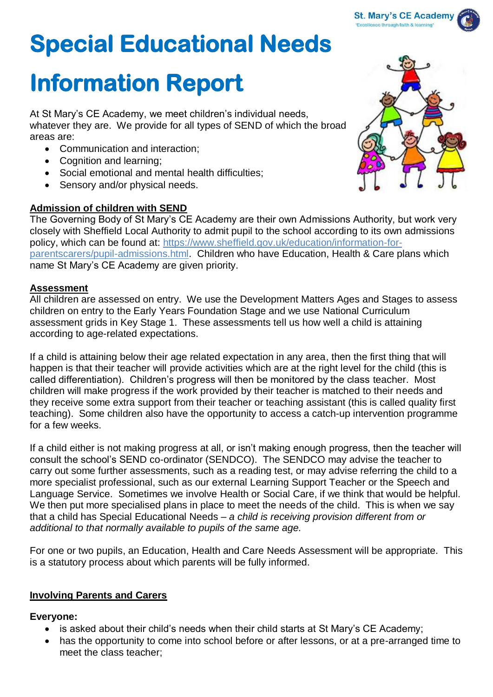# **Special Educational Needs**

# **Information Report**

At St Mary's CE Academy, we meet children's individual needs, whatever they are. We provide for all types of SEND of which the broad areas are:

- Communication and interaction;
- Cognition and learning;
- Social emotional and mental health difficulties;
- Sensory and/or physical needs.

## **Admission of children with SEND**

The Governing Body of St Mary's CE Academy are their own Admissions Authority, but work very closely with Sheffield Local Authority to admit pupil to the school according to its own admissions policy, which can be found at: [https://www.sheffield.gov.uk/education/information-for](about:blank)[parentscarers/pupil-admissions.html.](about:blank) Children who have Education, Health & Care plans which name St Mary's CE Academy are given priority.

#### **Assessment**

All children are assessed on entry. We use the Development Matters Ages and Stages to assess children on entry to the Early Years Foundation Stage and we use National Curriculum assessment grids in Key Stage 1. These assessments tell us how well a child is attaining according to age-related expectations.

If a child is attaining below their age related expectation in any area, then the first thing that will happen is that their teacher will provide activities which are at the right level for the child (this is called differentiation). Children's progress will then be monitored by the class teacher. Most children will make progress if the work provided by their teacher is matched to their needs and they receive some extra support from their teacher or teaching assistant (this is called quality first teaching). Some children also have the opportunity to access a catch-up intervention programme for a few weeks.

If a child either is not making progress at all, or isn't making enough progress, then the teacher will consult the school's SEND co-ordinator (SENDCO). The SENDCO may advise the teacher to carry out some further assessments, such as a reading test, or may advise referring the child to a more specialist professional, such as our external Learning Support Teacher or the Speech and Language Service. Sometimes we involve Health or Social Care, if we think that would be helpful. We then put more specialised plans in place to meet the needs of the child. This is when we say that a child has Special Educational Needs – *a child is receiving provision different from or additional to that normally available to pupils of the same age.* 

For one or two pupils, an Education, Health and Care Needs Assessment will be appropriate. This is a statutory process about which parents will be fully informed.

## **Involving Parents and Carers**

#### **Everyone:**

- is asked about their child's needs when their child starts at St Mary's CE Academy;
- has the opportunity to come into school before or after lessons, or at a pre-arranged time to meet the class teacher;

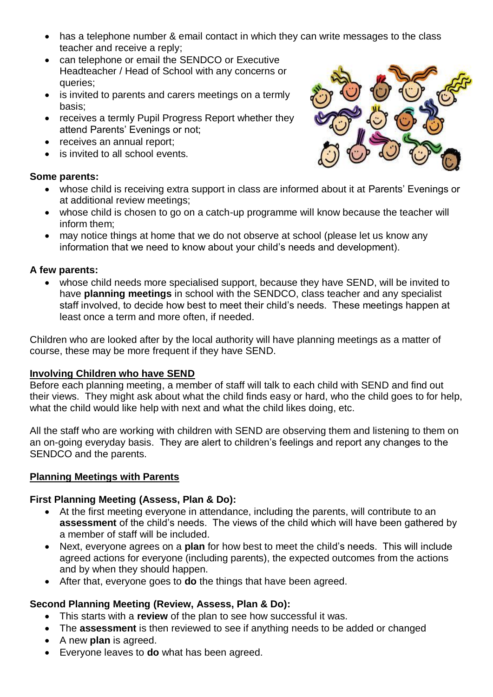- has a telephone number & email contact in which they can write messages to the class teacher and receive a reply;
- can telephone or email the SENDCO or Executive Headteacher / Head of School with any concerns or queries;
- is invited to parents and carers meetings on a termly basis;
- receives a termly Pupil Progress Report whether they attend Parents' Evenings or not;
- receives an annual report:
- is invited to all school events.

#### **Some parents:**



- whose child is receiving extra support in class are informed about it at Parents' Evenings or at additional review meetings;
- whose child is chosen to go on a catch-up programme will know because the teacher will inform them;
- may notice things at home that we do not observe at school (please let us know any information that we need to know about your child's needs and development).

#### **A few parents:**

• whose child needs more specialised support, because they have SEND, will be invited to have **planning meetings** in school with the SENDCO, class teacher and any specialist staff involved, to decide how best to meet their child's needs. These meetings happen at least once a term and more often, if needed.

Children who are looked after by the local authority will have planning meetings as a matter of course, these may be more frequent if they have SEND.

#### **Involving Children who have SEND**

Before each planning meeting, a member of staff will talk to each child with SEND and find out their views. They might ask about what the child finds easy or hard, who the child goes to for help, what the child would like help with next and what the child likes doing, etc.

All the staff who are working with children with SEND are observing them and listening to them on an on-going everyday basis. They are alert to children's feelings and report any changes to the SENDCO and the parents.

#### **Planning Meetings with Parents**

#### **First Planning Meeting (Assess, Plan & Do):**

- At the first meeting everyone in attendance, including the parents, will contribute to an **assessment** of the child's needs. The views of the child which will have been gathered by a member of staff will be included.
- Next, everyone agrees on a **plan** for how best to meet the child's needs. This will include agreed actions for everyone (including parents), the expected outcomes from the actions and by when they should happen.
- After that, everyone goes to **do** the things that have been agreed.

#### **Second Planning Meeting (Review, Assess, Plan & Do):**

- This starts with a **review** of the plan to see how successful it was.
- The **assessment** is then reviewed to see if anything needs to be added or changed
- A new **plan** is agreed.
- Everyone leaves to **do** what has been agreed.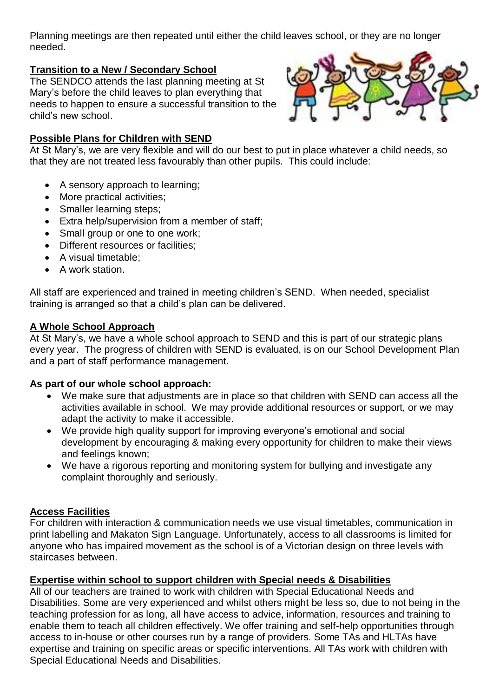Planning meetings are then repeated until either the child leaves school, or they are no longer needed.

#### **Transition to a New / Secondary School**

The SENDCO attends the last planning meeting at St Mary's before the child leaves to plan everything that needs to happen to ensure a successful transition to the child's new school.

#### **Possible Plans for Children with SEND**



At St Mary's, we are very flexible and will do our best to put in place whatever a child needs, so that they are not treated less favourably than other pupils. This could include:

- A sensory approach to learning;
- More practical activities:
- Smaller learning steps:
- Extra help/supervision from a member of staff;
- Small group or one to one work:
- Different resources or facilities;
- A visual timetable;
- A work station.

All staff are experienced and trained in meeting children's SEND. When needed, specialist training is arranged so that a child's plan can be delivered.

#### **A Whole School Approach**

At St Mary's, we have a whole school approach to SEND and this is part of our strategic plans every year. The progress of children with SEND is evaluated, is on our School Development Plan and a part of staff performance management.

#### **As part of our whole school approach:**

- We make sure that adjustments are in place so that children with SEND can access all the activities available in school. We may provide additional resources or support, or we may adapt the activity to make it accessible.
- We provide high quality support for improving everyone's emotional and social development by encouraging & making every opportunity for children to make their views and feelings known;
- We have a rigorous reporting and monitoring system for bullying and investigate any complaint thoroughly and seriously.

#### **Access Facilities**

For children with interaction & communication needs we use visual timetables, communication in print labelling and Makaton Sign Language. Unfortunately, access to all classrooms is limited for anyone who has impaired movement as the school is of a Victorian design on three levels with staircases between.

#### **Expertise within school to support children with Special needs & Disabilities**

All of our teachers are trained to work with children with Special Educational Needs and Disabilities. Some are very experienced and whilst others might be less so, due to not being in the teaching profession for as long, all have access to advice, information, resources and training to enable them to teach all children effectively. We offer training and self-help opportunities through access to in-house or other courses run by a range of providers. Some TAs and HLTAs have expertise and training on specific areas or specific interventions. All TAs work with children with Special Educational Needs and Disabilities.